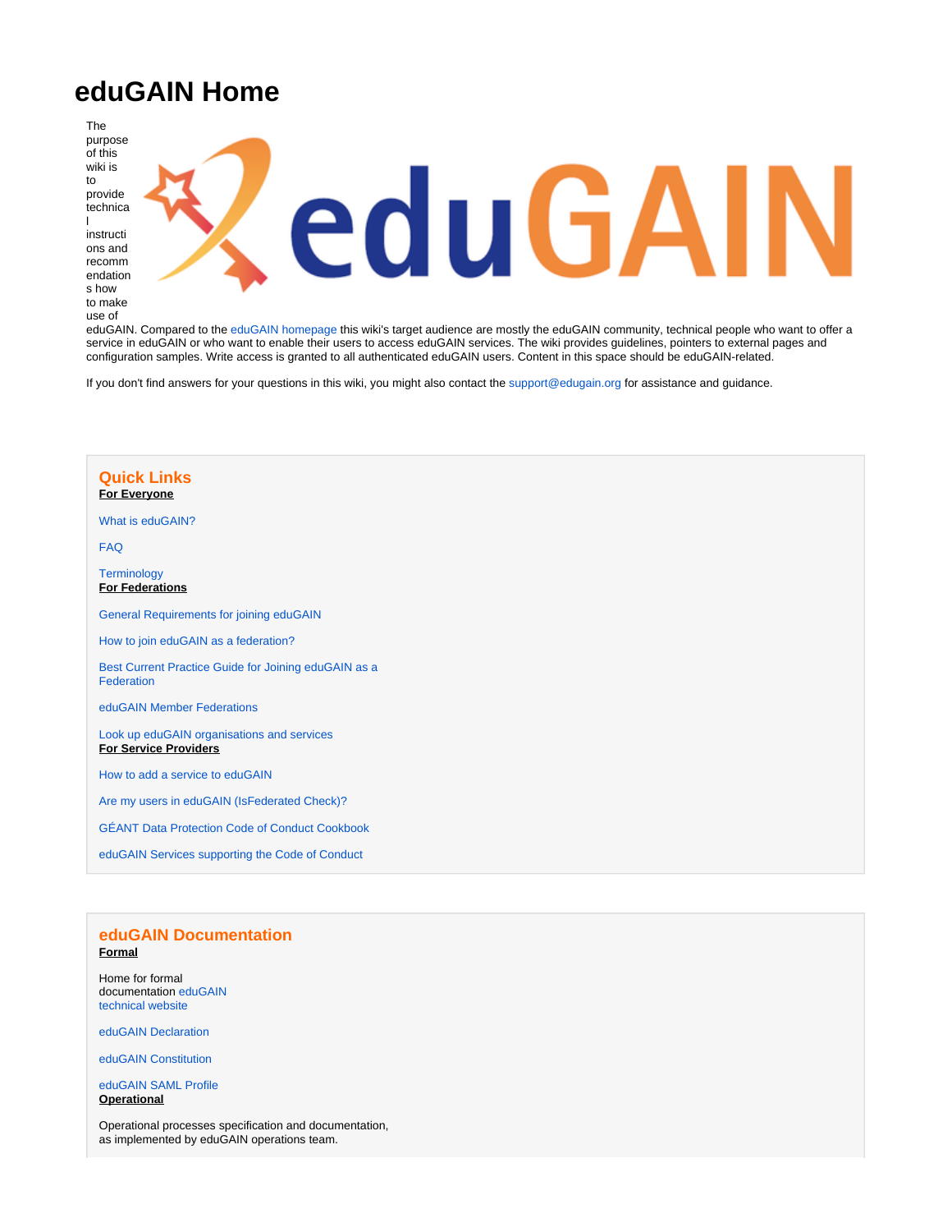# **eduGAIN Home**

The purpose of this wiki is to provide technica l instructi ons and recomm endation



eduGAIN. Compared to the [eduGAIN homepage](http://www.edugain.org/) this wiki's target audience are mostly the eduGAIN community, technical people who want to offer a service in eduGAIN or who want to enable their users to access eduGAIN services. The wiki provides guidelines, pointers to external pages and configuration samples. Write access is granted to all authenticated eduGAIN users. Content in this space should be eduGAIN-related.

If you don't find answers for your questions in this wiki, you might also contact the [support@edugain.org](mailto:support@edugain.org) for assistance and guidance.

# **Quick Links For Everyone** [What is eduGAIN?](https://wiki.geant.org/display/eduGAIN/Identity+Federations+and+eduGAIN) [FAQ](https://wiki.geant.org/display/eduGAIN/FAQ) **[Terminology](https://wiki.geant.org/display/eduGAIN/Terminology) For Federations** [General Requirements for joining eduGAIN](https://wiki.geant.org/display/eduGAIN/General+Requirements+for+Joining+eduGAIN) [How to join eduGAIN as a federation?](https://wiki.geant.org/display/eduGAIN/Guide+for+Joining+eduGAIN+as+a+Federation) [Best Current Practice Guide for Joining eduGAIN as a](https://wiki.geant.org/display/eduGAIN/Best+Current+Practices+Guide+for+Joining+eduGAIN+as+a+Federation)  [Federation](https://wiki.geant.org/display/eduGAIN/Best+Current+Practices+Guide+for+Joining+eduGAIN+as+a+Federation) [eduGAIN Member Federations](http://www.edugain.org/technical/status.php) [Look up eduGAIN organisations and services](http://technical.edugain.org/entities) **For Service Providers** [How to add a service to eduGAIN](https://wiki.geant.org/display/eduGAIN/How+to+offer+a+service+in+eduGAIN) [Are my users in eduGAIN \(IsFederated Check\)?](http://wiki.edugain.org/isFederatedCheck/) [GÉANT Data Protection Code of Conduct Cookbook](https://wiki.geant.org/display/eduGAIN/Data+Protection+Code+of+Conduct+Cookbook) [eduGAIN Services supporting the Code of Conduct](http://monitor.edugain.org/coco/?show=list_sps)

### **eduGAIN Documentation Formal**

Home for formal documentation [eduGAIN](https://technical.edugain.org/documents)  [technical website](https://technical.edugain.org/documents)

[eduGAIN Declaration](https://technical.edugain.org/doc/eduGAIN-Declaration-v2bis-web.pdf)

[eduGAIN Constitution](https://technical.edugain.org/doc/eduGAIN-Constitution-v3ter-web.pdf)

[eduGAIN SAML Profile](https://wiki.geant.org/display/eduGAIN/eduGAIN+SAML+Profile) **Operational**

Operational processes specification and documentation, as implemented by eduGAIN operations team.